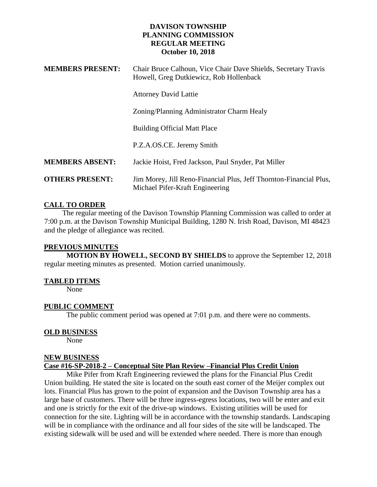### **DAVISON TOWNSHIP PLANNING COMMISSION REGULAR MEETING October 10, 2018**

| <b>MEMBERS PRESENT:</b> | Chair Bruce Calhoun, Vice Chair Dave Shields, Secretary Travis<br>Howell, Greg Dutkiewicz, Rob Hollenback |
|-------------------------|-----------------------------------------------------------------------------------------------------------|
|                         | <b>Attorney David Lattie</b>                                                                              |
|                         | Zoning/Planning Administrator Charm Healy                                                                 |
|                         | <b>Building Official Matt Place</b>                                                                       |
|                         | P.Z.A.OS.CE. Jeremy Smith                                                                                 |
| <b>MEMBERS ABSENT:</b>  | Jackie Hoist, Fred Jackson, Paul Snyder, Pat Miller                                                       |
| <b>OTHERS PRESENT:</b>  | Jim Morey, Jill Reno-Financial Plus, Jeff Thornton-Financial Plus,<br>Michael Pifer-Kraft Engineering     |

# **CALL TO ORDER**

 The regular meeting of the Davison Township Planning Commission was called to order at 7:00 p.m. at the Davison Township Municipal Building, 1280 N. Irish Road, Davison, MI 48423 and the pledge of allegiance was recited.

#### **PREVIOUS MINUTES**

**MOTION BY HOWELL, SECOND BY SHIELDS** to approve the September 12, 2018 regular meeting minutes as presented. Motion carried unanimously.

### **TABLED ITEMS**

None

### **PUBLIC COMMENT**

The public comment period was opened at 7:01 p.m. and there were no comments.

### **OLD BUSINESS**

None

### **NEW BUSINESS**

### **Case #16-SP-2018-2 – Conceptual Site Plan Review –Financial Plus Credit Union**

Mike Pifer from Kraft Engineering reviewed the plans for the Financial Plus Credit Union building. He stated the site is located on the south east corner of the Meijer complex out lots. Financial Plus has grown to the point of expansion and the Davison Township area has a large base of customers. There will be three ingress-egress locations, two will be enter and exit and one is strictly for the exit of the drive-up windows. Existing utilities will be used for connection for the site. Lighting will be in accordance with the township standards. Landscaping will be in compliance with the ordinance and all four sides of the site will be landscaped. The existing sidewalk will be used and will be extended where needed. There is more than enough